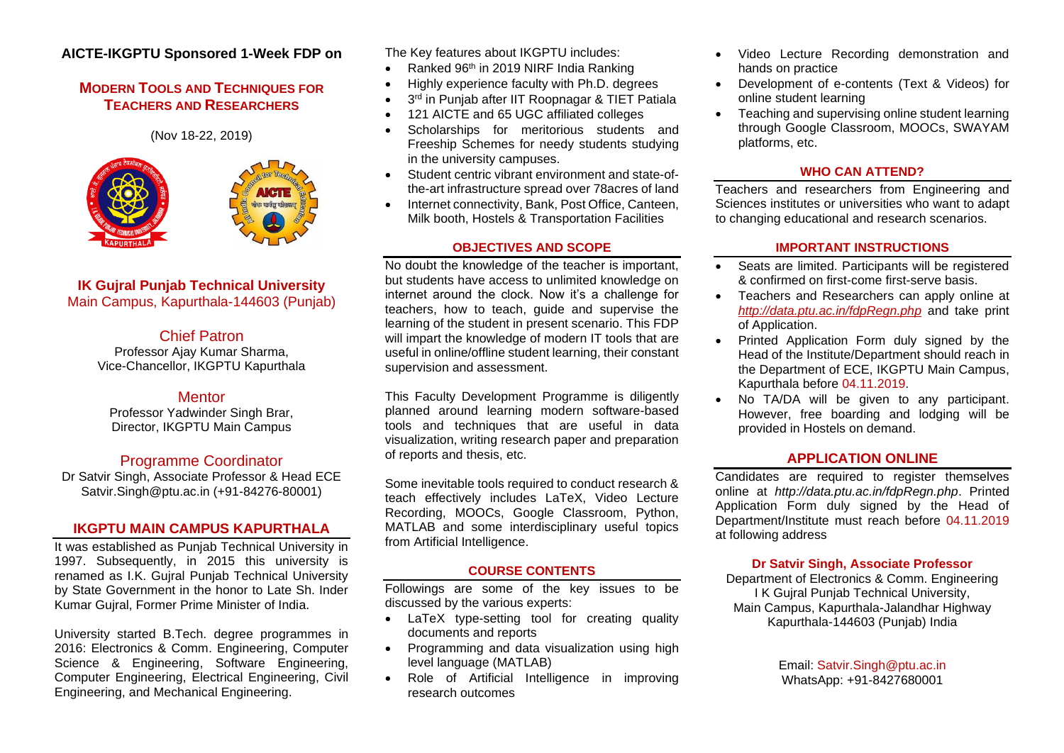# **AICTE-IKGPTU Sponsored 1-Week FDP on**

# **MODERN TOOLS AND TECHNIQUES FOR TEACHERS AND RESEARCHERS**

(Nov 18-22, 2019)



#### **IK Gujral Punjab Technical University** Main Campus, Kapurthala-144603 (Punjab)

## Chief Patron

Professor Ajay Kumar Sharma, Vice-Chancellor, IKGPTU Kapurthala

# **Mentor**

Professor Yadwinder Singh Brar, Director, IKGPTU Main Campus

# Programme Coordinator

Dr Satvir Singh, Associate Professor & Head ECE Satvir.Singh@ptu.ac.in (+91-84276-80001)

#### **IKGPTU MAIN CAMPUS KAPURTHALA**

It was established as Punjab Technical University in 1997. Subsequently, in 2015 this university is renamed as I.K. Gujral Punjab Technical University by State Government in the honor to Late Sh. Inder Kumar Gujral, Former Prime Minister of India.

University started B.Tech. degree programmes in 2016: Electronics & Comm. Engineering, Computer Science & Engineering, Software Engineering, Computer Engineering, Electrical Engineering, Civil Engineering, and Mechanical Engineering.

The Key features about IKGPTU includes:

- Ranked 96th in 2019 NIRF India Ranking
- Highly experience faculty with Ph.D. degrees
- 3<sup>rd</sup> in Punjab after IIT Roopnagar & TIET Patiala
- 121 AICTE and 65 UGC affiliated colleges
- Scholarships for meritorious students and Freeship Schemes for needy students studying in the university campuses.
- Student centric vibrant environment and state-ofthe-art infrastructure spread over 78acres of land
- Internet connectivity, Bank, Post Office, Canteen, Milk booth, Hostels & Transportation Facilities

#### **OBJECTIVES AND SCOPE**

No doubt the knowledge of the teacher is important, but students have access to unlimited knowledge on internet around the clock. Now it's a challenge for teachers, how to teach, guide and supervise the learning of the student in present scenario. This FDP will impart the knowledge of modern IT tools that are useful in online/offline student learning, their constant supervision and assessment.

This Faculty Development Programme is diligently planned around learning modern software-based tools and techniques that are useful in data visualization, writing research paper and preparation of reports and thesis, etc.

Some inevitable tools required to conduct research & teach effectively includes LaTeX, Video Lecture Recording, MOOCs, Google Classroom, Python, MATLAB and some interdisciplinary useful topics from Artificial Intelligence.

### **COURSE CONTENTS**

Followings are some of the key issues to be discussed by the various experts:

- LaTeX type-setting tool for creating quality documents and reports
- Programming and data visualization using high level language (MATLAB)
- Role of Artificial Intelligence in improving research outcomes
- Video Lecture Recording demonstration and hands on practice
- Development of e-contents (Text & Videos) for online student learning
- Teaching and supervising online student learning through Google Classroom, MOOCs, SWAYAM platforms, etc.

#### **WHO CAN ATTEND?**

Teachers and researchers from Engineering and Sciences institutes or universities who want to adapt to changing educational and research scenarios.

#### **IMPORTANT INSTRUCTIONS**

- Seats are limited. Participants will be registered & confirmed on first-come first-serve basis.
- Teachers and Researchers can apply online at *<http://data.ptu.ac.in/fdpRegn.php>* and take print of Application.
- Printed Application Form duly signed by the Head of the Institute/Department should reach in the Department of ECE, IKGPTU Main Campus, Kapurthala before 04.11.2019.
- No TA/DA will be given to any participant. However, free boarding and lodging will be provided in Hostels on demand.

### **APPLICATION ONLINE**

Candidates are required to register themselves online at *http://data.ptu.ac.in/fdpRegn.php*. Printed Application Form duly signed by the Head of Department/Institute must reach before 04.11.2019 at following address

#### **Dr Satvir Singh, Associate Professor**

Department of Electronics & Comm. Engineering I K Gujral Punjab Technical University, Main Campus, Kapurthala-Jalandhar Highway Kapurthala-144603 (Punjab) India

> Email: Satvir.Singh@ptu.ac.in WhatsApp: +91-8427680001